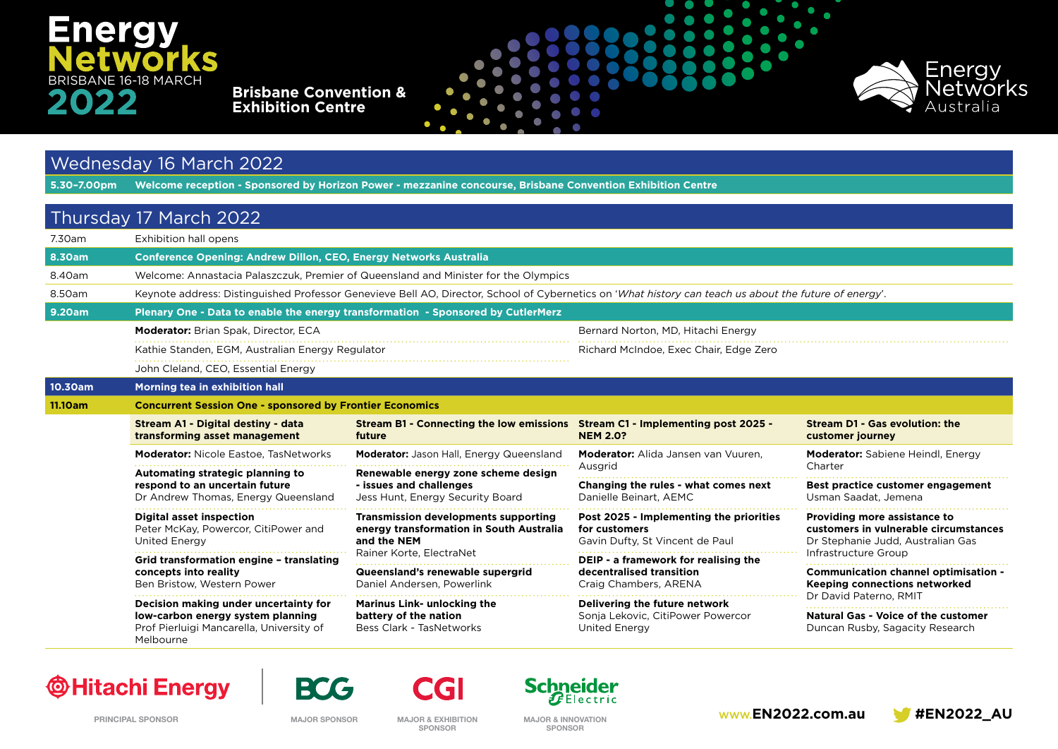# **Energy** S BRISBANE 16-18 MARCH

**Brisbane Convention & Exhibition Centre**





#### Wednesday 16 March 2022

**5.30–7.00pm Welcome reception - Sponsored by Horizon Power - mezzanine concourse, Brisbane Convention Exhibition Centre**

|                                    | Thursday 17 March 2022                                                                                                                                 |                                                                                                                                                                                                      |                                                                                             |                                                                                                            |  |
|------------------------------------|--------------------------------------------------------------------------------------------------------------------------------------------------------|------------------------------------------------------------------------------------------------------------------------------------------------------------------------------------------------------|---------------------------------------------------------------------------------------------|------------------------------------------------------------------------------------------------------------|--|
| 7.30am                             | Exhibition hall opens                                                                                                                                  |                                                                                                                                                                                                      |                                                                                             |                                                                                                            |  |
| <b>8.30am</b>                      | <b>Conference Opening: Andrew Dillon, CEO, Energy Networks Australia</b>                                                                               |                                                                                                                                                                                                      |                                                                                             |                                                                                                            |  |
| 8.40am                             | Welcome: Annastacia Palaszczuk, Premier of Queensland and Minister for the Olympics                                                                    |                                                                                                                                                                                                      |                                                                                             |                                                                                                            |  |
| 8.50am                             | Keynote address: Distinguished Professor Genevieve Bell AO, Director, School of Cybernetics on 'What history can teach us about the future of energy'. |                                                                                                                                                                                                      |                                                                                             |                                                                                                            |  |
| 9.20am                             | Plenary One - Data to enable the energy transformation - Sponsored by CutlerMerz                                                                       |                                                                                                                                                                                                      |                                                                                             |                                                                                                            |  |
|                                    | <b>Moderator:</b> Brian Spak, Director, ECA                                                                                                            |                                                                                                                                                                                                      | Bernard Norton, MD, Hitachi Energy                                                          |                                                                                                            |  |
|                                    | Kathie Standen, EGM, Australian Energy Regulator                                                                                                       |                                                                                                                                                                                                      | Richard McIndoe, Exec Chair, Edge Zero                                                      |                                                                                                            |  |
|                                    | John Cleland, CEO, Essential Energy                                                                                                                    |                                                                                                                                                                                                      |                                                                                             |                                                                                                            |  |
| 10.30am                            | Morning tea in exhibition hall                                                                                                                         |                                                                                                                                                                                                      |                                                                                             |                                                                                                            |  |
| 11.10am                            | <b>Concurrent Session One - sponsored by Frontier Economics</b>                                                                                        |                                                                                                                                                                                                      |                                                                                             |                                                                                                            |  |
|                                    | Stream A1 - Digital destiny - data<br>transforming asset management                                                                                    | Stream B1 - Connecting the low emissions Stream C1 - Implementing post 2025 -<br>future                                                                                                              | <b>NEM 2.0?</b>                                                                             | Stream D1 - Gas evolution: the<br>customer journey                                                         |  |
|                                    | <b>Moderator:</b> Nicole Eastoe. Tas Networks                                                                                                          | Moderator: Jason Hall, Energy Queensland                                                                                                                                                             | Moderator: Alida Jansen van Vuuren,                                                         | <b>Moderator:</b> Sabiene Heindl, Energy                                                                   |  |
|                                    | Automating strategic planning to                                                                                                                       | Renewable energy zone scheme design<br>- issues and challenges<br>Jess Hunt, Energy Security Board                                                                                                   | Ausgrid                                                                                     | Charter                                                                                                    |  |
|                                    | respond to an uncertain future<br>Dr Andrew Thomas, Energy Queensland                                                                                  |                                                                                                                                                                                                      | Changing the rules - what comes next<br>Danielle Beinart, AEMC                              | Best practice customer engagement<br>Usman Saadat, Jemena                                                  |  |
|                                    | <b>Digital asset inspection</b><br>Peter McKay, Powercor, CitiPower and<br><b>United Energy</b>                                                        | <b>Transmission developments supporting</b><br>energy transformation in South Australia<br>and the NEM<br>Rainer Korte, ElectraNet<br>Queensland's renewable supergrid<br>Daniel Andersen, Powerlink | Post 2025 - Implementing the priorities<br>for customers<br>Gavin Dufty, St Vincent de Paul | Providing more assistance to<br>customers in vulnerable circumstances<br>Dr Stephanie Judd, Australian Gas |  |
|                                    | Grid transformation engine - translating                                                                                                               |                                                                                                                                                                                                      | DEIP - a framework for realising the<br>decentralised transition<br>Craig Chambers, ARENA   | Infrastructure Group                                                                                       |  |
| concepts into reality<br>Melbourne | Ben Bristow, Western Power                                                                                                                             |                                                                                                                                                                                                      |                                                                                             | <b>Communication channel optimisation -</b><br>Keeping connections networked                               |  |
|                                    | Decision making under uncertainty for<br>low-carbon energy system planning<br>Prof Pierluigi Mancarella, University of                                 | <b>Marinus Link- unlocking the</b><br>battery of the nation<br>Bess Clark - TasNetworks                                                                                                              | Delivering the future network<br>Sonja Lekovic, CitiPower Powercor<br><b>United Energy</b>  | Dr David Paterno, RMIT<br>Natural Gas - Voice of the customer<br>Duncan Rusby, Sagacity Research           |  |

#### **@Hitachi Energy**



**SPONSOR**

**CGI** 

**Schneider**  $\bm{E}$ Electric

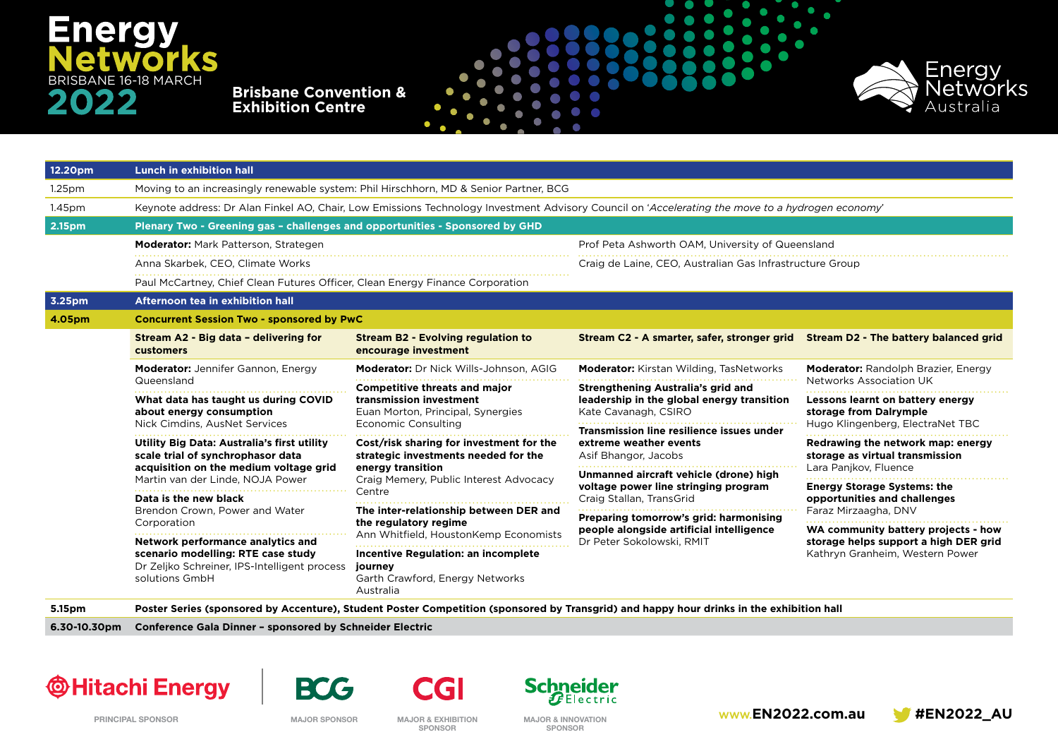# **Energy** S BRISBANE 16-18 MARCH

**Brisbane Convention & Exhibition Centre**



| 12.20pm            | <b>Lunch in exhibition hall</b>                                                                                                                                                         |                                                                                                                                                           |                                                                                                            |                                                                                                                 |  |
|--------------------|-----------------------------------------------------------------------------------------------------------------------------------------------------------------------------------------|-----------------------------------------------------------------------------------------------------------------------------------------------------------|------------------------------------------------------------------------------------------------------------|-----------------------------------------------------------------------------------------------------------------|--|
| 1.25 <sub>pm</sub> | Moving to an increasingly renewable system: Phil Hirschhorn, MD & Senior Partner, BCG                                                                                                   |                                                                                                                                                           |                                                                                                            |                                                                                                                 |  |
| 1.45pm             | Keynote address: Dr Alan Finkel AO, Chair, Low Emissions Technology Investment Advisory Council on 'Accelerating the move to a hydrogen economy'                                        |                                                                                                                                                           |                                                                                                            |                                                                                                                 |  |
| 2.15pm             | Plenary Two - Greening gas - challenges and opportunities - Sponsored by GHD                                                                                                            |                                                                                                                                                           |                                                                                                            |                                                                                                                 |  |
|                    | Moderator: Mark Patterson, Strategen                                                                                                                                                    |                                                                                                                                                           | Prof Peta Ashworth OAM, University of Queensland                                                           |                                                                                                                 |  |
|                    | Anna Skarbek, CEO, Climate Works                                                                                                                                                        |                                                                                                                                                           | Craig de Laine, CEO, Australian Gas Infrastructure Group                                                   |                                                                                                                 |  |
|                    | Paul McCartney, Chief Clean Futures Officer, Clean Energy Finance Corporation                                                                                                           |                                                                                                                                                           |                                                                                                            |                                                                                                                 |  |
| 3.25pm             | Afternoon tea in exhibition hall                                                                                                                                                        |                                                                                                                                                           |                                                                                                            |                                                                                                                 |  |
| 4.05pm             | <b>Concurrent Session Two - sponsored by PwC</b>                                                                                                                                        |                                                                                                                                                           |                                                                                                            |                                                                                                                 |  |
|                    | Stream A2 - Big data - delivering for<br>customers                                                                                                                                      | <b>Stream B2 - Evolving regulation to</b><br>encourage investment                                                                                         | Stream C2 - A smarter, safer, stronger grid                                                                | Stream D2 - The battery balanced grid                                                                           |  |
|                    | <b>Moderator:</b> Jennifer Gannon, Energy<br>Queensland                                                                                                                                 | Moderator: Dr Nick Wills-Johnson, AGIG                                                                                                                    | <b>Moderator:</b> Kirstan Wilding, TasNetworks                                                             | <b>Moderator:</b> Randolph Brazier, Energy                                                                      |  |
|                    |                                                                                                                                                                                         | <b>Competitive threats and major</b><br>transmission investment<br>Euan Morton, Principal, Synergies<br><b>Economic Consulting</b>                        | Strengthening Australia's grid and<br>leadership in the global energy transition<br>Kate Cavanagh, CSIRO   | <b>Networks Association UK</b>                                                                                  |  |
|                    | What data has taught us during COVID<br>about energy consumption                                                                                                                        |                                                                                                                                                           |                                                                                                            | Lessons learnt on battery energy<br>storage from Dalrymple<br>Hugo Klingenberg, ElectraNet TBC                  |  |
|                    | Nick Cimdins, AusNet Services                                                                                                                                                           |                                                                                                                                                           | Transmission line resilience issues under<br>extreme weather events<br>Asif Bhangor, Jacobs                |                                                                                                                 |  |
|                    | Utility Big Data: Australia's first utility<br>scale trial of synchrophasor data<br>acquisition on the medium voltage grid<br>Martin van der Linde, NOJA Power<br>Data is the new black | Cost/risk sharing for investment for the<br>strategic investments needed for the<br>energy transition<br>Craig Memery, Public Interest Advocacy<br>Centre |                                                                                                            | Redrawing the network map: energy<br>storage as virtual transmission                                            |  |
|                    |                                                                                                                                                                                         |                                                                                                                                                           | Unmanned aircraft vehicle (drone) high<br>voltage power line stringing program<br>Craig Stallan, TransGrid | Lara Panjkov, Fluence                                                                                           |  |
|                    |                                                                                                                                                                                         |                                                                                                                                                           |                                                                                                            | <b>Energy Storage Systems: the</b><br>opportunities and challenges<br>Faraz Mirzaagha, DNV                      |  |
|                    | Brendon Crown, Power and Water<br>Corporation                                                                                                                                           | The inter-relationship between DER and<br>the regulatory regime<br>Ann Whitfield, HoustonKemp Economists                                                  | Preparing tomorrow's grid: harmonising                                                                     |                                                                                                                 |  |
|                    |                                                                                                                                                                                         |                                                                                                                                                           | people alongside artificial intelligence                                                                   | WA community battery projects - how<br>storage helps support a high DER grid<br>Kathryn Granheim, Western Power |  |
|                    | Network performance analytics and<br>scenario modelling: RTE case study<br>Dr Zeljko Schreiner, IPS-Intelligent process<br>solutions GmbH                                               | Incentive Regulation: an incomplete                                                                                                                       | Dr Peter Sokolowski, RMIT                                                                                  |                                                                                                                 |  |
|                    |                                                                                                                                                                                         | journey<br>Garth Crawford, Energy Networks<br>Australia                                                                                                   |                                                                                                            |                                                                                                                 |  |

**5.15pm Poster Series (sponsored by Accenture), Student Poster Competition (sponsored by Transgrid) and happy hour drinks in the exhibition hall**

**6.30-10.30pm Conference Gala Dinner – sponsored by Schneider Electric** 











**SPONSOR**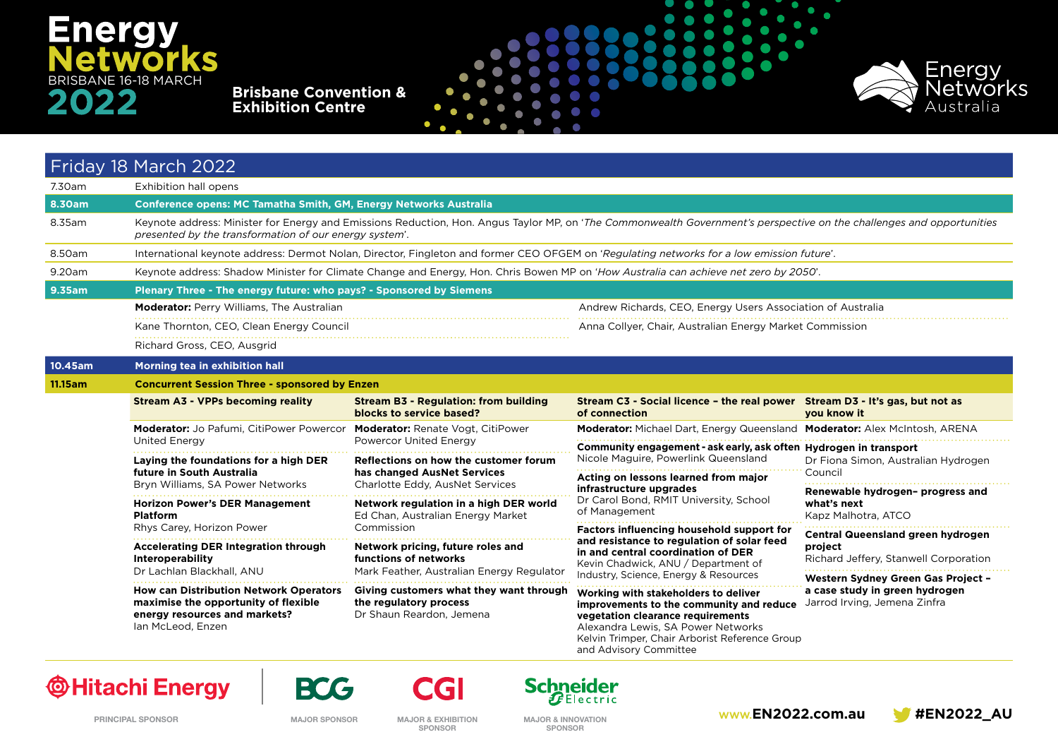# **Energy IS** BRISBANE 16-18 MARCH

**Brisbane Convention & Exhibition Centre**



|         | Friday 18 March 2022                                                                                                                                                                                                           |                                                                                                                                                                               |                                                                                                                                                                                                                                         |                                                                                                      |  |  |
|---------|--------------------------------------------------------------------------------------------------------------------------------------------------------------------------------------------------------------------------------|-------------------------------------------------------------------------------------------------------------------------------------------------------------------------------|-----------------------------------------------------------------------------------------------------------------------------------------------------------------------------------------------------------------------------------------|------------------------------------------------------------------------------------------------------|--|--|
| 7.30am  | <b>Exhibition hall opens</b>                                                                                                                                                                                                   |                                                                                                                                                                               |                                                                                                                                                                                                                                         |                                                                                                      |  |  |
| 8.30am  | Conference opens: MC Tamatha Smith, GM, Energy Networks Australia                                                                                                                                                              |                                                                                                                                                                               |                                                                                                                                                                                                                                         |                                                                                                      |  |  |
| 8.35am  | Keynote address: Minister for Energy and Emissions Reduction, Hon. Angus Taylor MP, on 'The Commonwealth Government's perspective on the challenges and opportunities<br>presented by the transformation of our energy system. |                                                                                                                                                                               |                                                                                                                                                                                                                                         |                                                                                                      |  |  |
| 8.50am  | International keynote address: Dermot Nolan, Director, Fingleton and former CEO OFGEM on 'Regulating networks for a low emission future'.                                                                                      |                                                                                                                                                                               |                                                                                                                                                                                                                                         |                                                                                                      |  |  |
| 9.20am  | Keynote address: Shadow Minister for Climate Change and Energy, Hon. Chris Bowen MP on 'How Australia can achieve net zero by 2050'.                                                                                           |                                                                                                                                                                               |                                                                                                                                                                                                                                         |                                                                                                      |  |  |
| 9.35am  | Plenary Three - The energy future: who pays? - Sponsored by Siemens                                                                                                                                                            |                                                                                                                                                                               |                                                                                                                                                                                                                                         |                                                                                                      |  |  |
|         | <b>Moderator:</b> Perry Williams, The Australian                                                                                                                                                                               |                                                                                                                                                                               | Andrew Richards, CEO, Energy Users Association of Australia                                                                                                                                                                             |                                                                                                      |  |  |
|         | Kane Thornton, CEO, Clean Energy Council                                                                                                                                                                                       |                                                                                                                                                                               | Anna Collyer, Chair, Australian Energy Market Commission                                                                                                                                                                                |                                                                                                      |  |  |
|         | Richard Gross, CEO, Ausgrid                                                                                                                                                                                                    |                                                                                                                                                                               |                                                                                                                                                                                                                                         |                                                                                                      |  |  |
| 10.45am | Morning tea in exhibition hall                                                                                                                                                                                                 |                                                                                                                                                                               |                                                                                                                                                                                                                                         |                                                                                                      |  |  |
| 11.15am | <b>Concurrent Session Three - sponsored by Enzen</b>                                                                                                                                                                           |                                                                                                                                                                               |                                                                                                                                                                                                                                         |                                                                                                      |  |  |
|         | <b>Stream A3 - VPPs becoming reality</b>                                                                                                                                                                                       | <b>Stream B3 - Regulation: from building</b><br>blocks to service based?                                                                                                      | Stream C3 - Social licence - the real power Stream D3 - It's gas, but not as<br>of connection                                                                                                                                           | you know it                                                                                          |  |  |
|         | Moderator: Jo Pafumi, CitiPower Powercor                                                                                                                                                                                       | <b>Moderator:</b> Renate Vogt, CitiPower<br>Powercor United Energy<br>Reflections on how the customer forum<br>has changed AusNet Services<br>Charlotte Eddy, AusNet Services | Moderator: Michael Dart, Energy Queensland Moderator: Alex McIntosh, ARENA                                                                                                                                                              |                                                                                                      |  |  |
|         | United Energy<br>.                                                                                                                                                                                                             |                                                                                                                                                                               | Community engagement - ask early, ask often Hydrogen in transport<br>Nicole Maguire, Powerlink Queensland                                                                                                                               |                                                                                                      |  |  |
|         | Laying the foundations for a high DER<br>future in South Australia<br>Bryn Williams, SA Power Networks                                                                                                                         |                                                                                                                                                                               |                                                                                                                                                                                                                                         | Dr Fiona Simon, Australian Hydrogen<br>Council                                                       |  |  |
|         |                                                                                                                                                                                                                                |                                                                                                                                                                               | Acting on lessons learned from major<br>infrastructure upgrades<br>Dr Carol Bond, RMIT University, School<br>of Management                                                                                                              | Renewable hydrogen- progress and                                                                     |  |  |
|         | <b>Horizon Power's DER Management</b><br><b>Platform</b>                                                                                                                                                                       | Network regulation in a high DER world<br>Ed Chan, Australian Energy Market<br>Commission                                                                                     |                                                                                                                                                                                                                                         | what's next<br>Kapz Malhotra, ATCO                                                                   |  |  |
|         | Rhys Carey, Horizon Power                                                                                                                                                                                                      |                                                                                                                                                                               | Factors influencing household support for<br>and resistance to regulation of solar feed<br>in and central coordination of DER<br>Kevin Chadwick, ANU / Department of<br>Industry, Science, Energy & Resources                           | Central Queensland green hydrogen<br>project<br>Richard Jeffery, Stanwell Corporation                |  |  |
|         | <b>Accelerating DER Integration through</b><br><b>Interoperability</b>                                                                                                                                                         | Network pricing, future roles and<br>functions of networks<br>Mark Feather, Australian Energy Regulator                                                                       |                                                                                                                                                                                                                                         |                                                                                                      |  |  |
|         | Dr Lachlan Blackhall, ANU                                                                                                                                                                                                      |                                                                                                                                                                               |                                                                                                                                                                                                                                         | Western Sydney Green Gas Project -<br>a case study in green hydrogen<br>Jarrod Irving, Jemena Zinfra |  |  |
|         | <b>How can Distribution Network Operators</b><br>maximise the opportunity of flexible<br>energy resources and markets?<br>Ian McLeod, Enzen                                                                                    | Giving customers what they want through<br>the regulatory process<br>Dr Shaun Reardon, Jemena                                                                                 | Working with stakeholders to deliver<br>improvements to the community and reduce<br>vegetation clearance requirements<br>Alexandra Lewis, SA Power Networks<br>Kelvin Trimper, Chair Arborist Reference Group<br>and Advisory Committee |                                                                                                      |  |  |

#### **@Hitachi Energy**



**CGI** 







**SPONSOR**